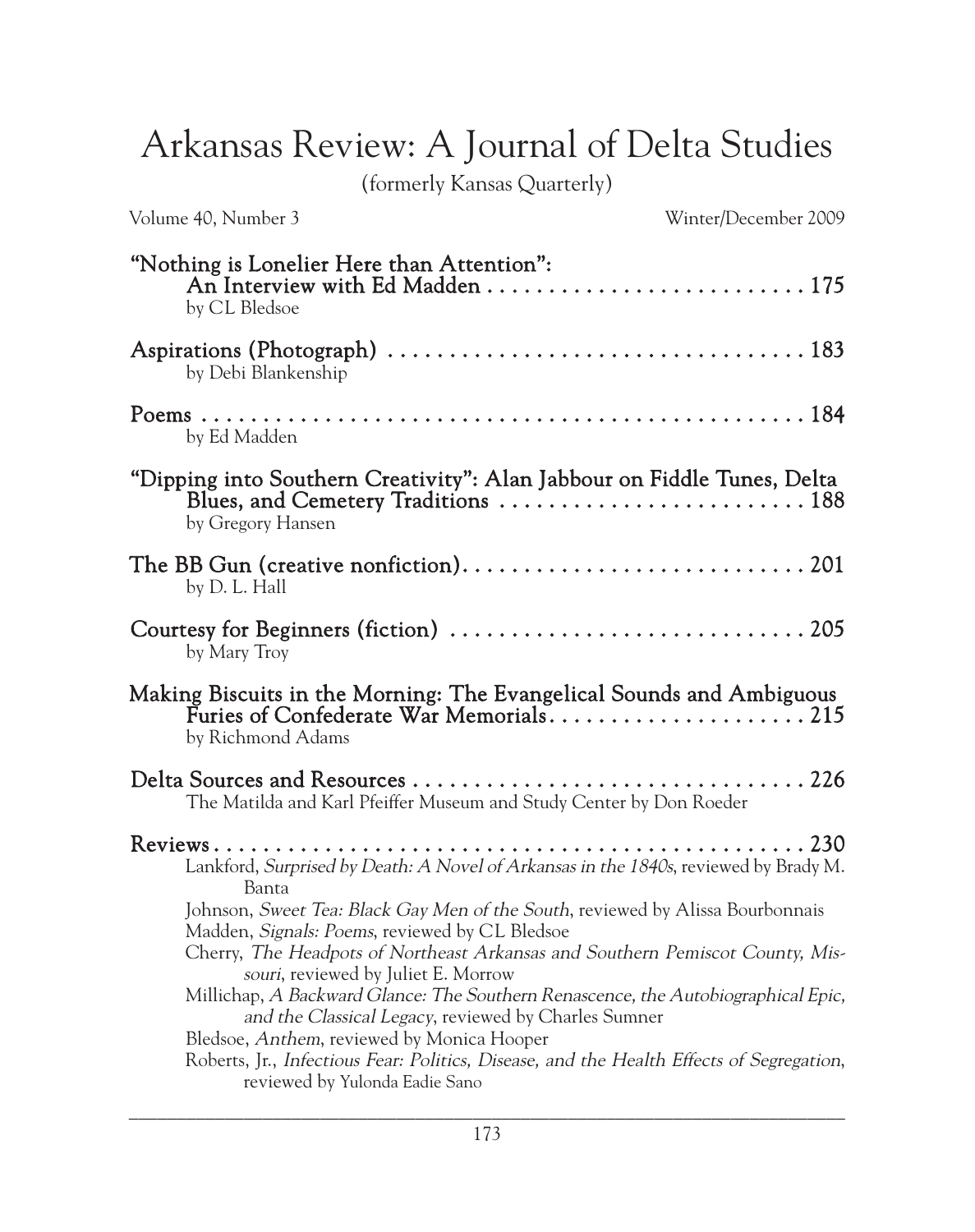## Arkansas Review: A Journal of Delta Studies

(formerly Kansas Quarterly)

| Volume 40, Number 3                                                                                                                                                                                                                                                                                                                                                                                                                            | Winter/December 2009 |
|------------------------------------------------------------------------------------------------------------------------------------------------------------------------------------------------------------------------------------------------------------------------------------------------------------------------------------------------------------------------------------------------------------------------------------------------|----------------------|
| "Nothing is Lonelier Here than Attention":<br>by CL Bledsoe                                                                                                                                                                                                                                                                                                                                                                                    |                      |
| by Debi Blankenship                                                                                                                                                                                                                                                                                                                                                                                                                            |                      |
| by Ed Madden                                                                                                                                                                                                                                                                                                                                                                                                                                   |                      |
| "Dipping into Southern Creativity": Alan Jabbour on Fiddle Tunes, Delta<br>Blues, and Cemetery Traditions  188<br>by Gregory Hansen                                                                                                                                                                                                                                                                                                            |                      |
| by D. L. Hall                                                                                                                                                                                                                                                                                                                                                                                                                                  |                      |
| by Mary Troy                                                                                                                                                                                                                                                                                                                                                                                                                                   |                      |
| Making Biscuits in the Morning: The Evangelical Sounds and Ambiguous<br>by Richmond Adams                                                                                                                                                                                                                                                                                                                                                      |                      |
| The Matilda and Karl Pfeiffer Museum and Study Center by Don Roeder                                                                                                                                                                                                                                                                                                                                                                            |                      |
| Lankford, Surprised by Death: A Novel of Arkansas in the 1840s, reviewed by Brady M.<br>Banta<br>Johnson, Sweet Tea: Black Gay Men of the South, reviewed by Alissa Bourbonnais<br>Madden, Signals: Poems, reviewed by CL Bledsoe<br>Cherry, The Headpots of Northeast Arkansas and Southern Pemiscot County, Mis-<br>souri, reviewed by Juliet E. Morrow<br>Millichap, A Backward Glance: The Southern Renascence, the Autobiographical Epic, |                      |
| and the Classical Legacy, reviewed by Charles Sumner<br>Bledsoe, Anthem, reviewed by Monica Hooper<br>Roberts, Jr., Infectious Fear: Politics, Disease, and the Health Effects of Segregation,<br>reviewed by Yulonda Eadie Sano                                                                                                                                                                                                               |                      |